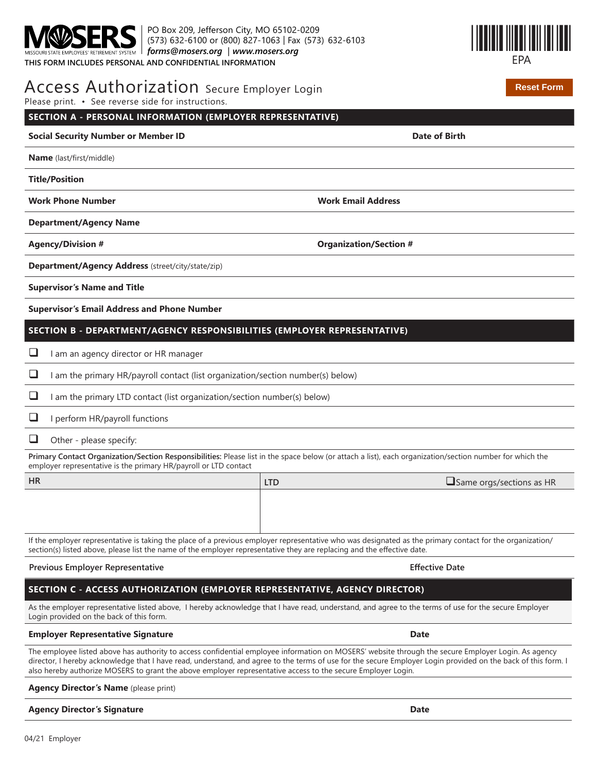PO Box 209, Jefferson City, MO 65102-0209 (573) 632-6100 or (800) 827-1063 | Fax (573) 632-6103 *forms@mosers.org* | *www.mosers.org* **THIS FORM INCLUDES PERSONAL AND CONFIDENTIAL INFORMATION**



**Reset Form**

| Access Authorization Secure Employer Login |  |
|--------------------------------------------|--|
|--------------------------------------------|--|

Please print. • See reverse side for instructions.

| Please print. • See reverse side for instructions.                                                                                                                                                                           |                                                                                                                                                          |
|------------------------------------------------------------------------------------------------------------------------------------------------------------------------------------------------------------------------------|----------------------------------------------------------------------------------------------------------------------------------------------------------|
| SECTION A - PERSONAL INFORMATION (EMPLOYER REPRESENTATIVE)                                                                                                                                                                   |                                                                                                                                                          |
| <b>Social Security Number or Member ID</b>                                                                                                                                                                                   | <b>Date of Birth</b>                                                                                                                                     |
| Name (last/first/middle)                                                                                                                                                                                                     |                                                                                                                                                          |
| <b>Title/Position</b>                                                                                                                                                                                                        |                                                                                                                                                          |
| <b>Work Phone Number</b>                                                                                                                                                                                                     | <b>Work Email Address</b>                                                                                                                                |
| <b>Department/Agency Name</b>                                                                                                                                                                                                |                                                                                                                                                          |
| <b>Agency/Division #</b>                                                                                                                                                                                                     | <b>Organization/Section #</b>                                                                                                                            |
| Department/Agency Address (street/city/state/zip)                                                                                                                                                                            |                                                                                                                                                          |
| <b>Supervisor's Name and Title</b>                                                                                                                                                                                           |                                                                                                                                                          |
| <b>Supervisor's Email Address and Phone Number</b>                                                                                                                                                                           |                                                                                                                                                          |
| SECTION B - DEPARTMENT/AGENCY RESPONSIBILITIES (EMPLOYER REPRESENTATIVE)                                                                                                                                                     |                                                                                                                                                          |
| I am an agency director or HR manager                                                                                                                                                                                        |                                                                                                                                                          |
| ⊔<br>I am the primary HR/payroll contact (list organization/section number(s) below)                                                                                                                                         |                                                                                                                                                          |
| ⊔<br>I am the primary LTD contact (list organization/section number(s) below)                                                                                                                                                |                                                                                                                                                          |
| ⊔<br>I perform HR/payroll functions                                                                                                                                                                                          |                                                                                                                                                          |
| ⊔<br>Other - please specify:                                                                                                                                                                                                 |                                                                                                                                                          |
| Primary Contact Organization/Section Responsibilities: Please list in the space below (or attach a list), each organization/section number for which the<br>employer representative is the primary HR/payroll or LTD contact |                                                                                                                                                          |
| <b>HR</b>                                                                                                                                                                                                                    | $\square$ Same orgs/sections as HR<br><b>LTD</b>                                                                                                         |
|                                                                                                                                                                                                                              |                                                                                                                                                          |
|                                                                                                                                                                                                                              |                                                                                                                                                          |
| section(s) listed above, please list the name of the employer representative they are replacing and the effective date.                                                                                                      | If the employer representative is taking the place of a previous employer representative who was designated as the primary contact for the organization/ |
| Previous Employer Representative                                                                                                                                                                                             | <b>Effective Date</b>                                                                                                                                    |
| SECTION C - ACCESS AUTHORIZATION (EMPLOYER REPRESENTATIVE, AGENCY DIRECTOR)                                                                                                                                                  |                                                                                                                                                          |
| As the employer representative listed above, I hereby acknowledge that I have read, understand, and agree to the terms of use for the secure Employer<br>Login provided on the back of this form.                            |                                                                                                                                                          |
| <b>Employer Representative Signature</b>                                                                                                                                                                                     | <b>Date</b>                                                                                                                                              |

The employee listed above has authority to access confidential employee information on MOSERS' website through the secure Employer Login. As agency director, I hereby acknowledge that I have read, understand, and agree to the terms of use for the secure Employer Login provided on the back of this form. I also hereby authorize MOSERS to grant the above employer representative access to the secure Employer Login.

**Agency Director's Name** (please print)

**Agency Director's Signature Date**